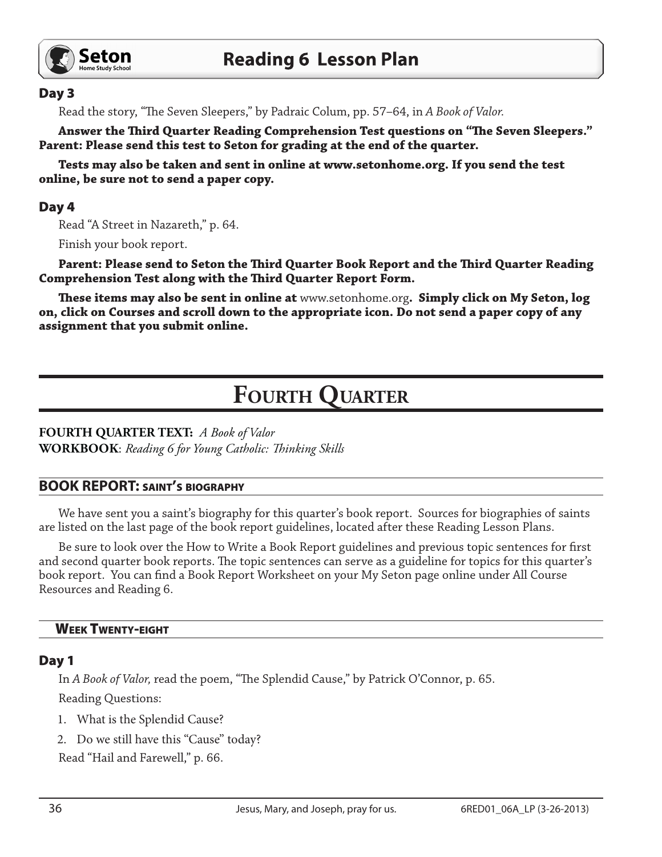

#### Day 3

Read the story, "The Seven Sleepers," by Padraic Colum, pp. 57–64, in *A Book of Valor.*

**Answer the Third Quarter Reading Comprehension Test questions on "The Seven Sleepers." Parent: Please send this test to Seton for grading at the end of the quarter.**

**Tests may also be taken and sent in online at www.setonhome.org. If you send the test online, be sure not to send a paper copy.** 

## Day 4

Read "A Street in Nazareth," p. 64.

Finish your book report.

**Parent: Please send to Seton the Third Quarter Book Report and the Third Quarter Reading Comprehension Test along with the Third Quarter Report Form.** 

**These items may also be sent in online at** www.setonhome.org**. Simply click on My Seton, log on, click on Courses and scroll down to the appropriate icon. Do not send a paper copy of any assignment that you submit online.**

# **FOURTH QUARTER**

#### **FOURTH QUARTER TEXT:** *A Book of Valor* **WORKBOOK**: *Reading 6 for Young Catholic: Thinking Skills*

## **BOOK REPORT:** saint's biography

We have sent you a saint's biography for this quarter's book report. Sources for biographies of saints are listed on the last page of the book report guidelines, located after these Reading Lesson Plans.

Be sure to look over the How to Write a Book Report guidelines and previous topic sentences for first and second quarter book reports. The topic sentences can serve as a guideline for topics for this quarter's book report. You can find a Book Report Worksheet on your My Seton page online under All Course Resources and Reading 6.

#### Week Twenty-eight

#### Day 1

In *A Book of Valor,* read the poem, "The Splendid Cause," by Patrick O'Connor, p. 65.

Reading Questions:

- 1. What is the Splendid Cause?
- 2. Do we still have this "Cause" today?

Read "Hail and Farewell," p. 66.